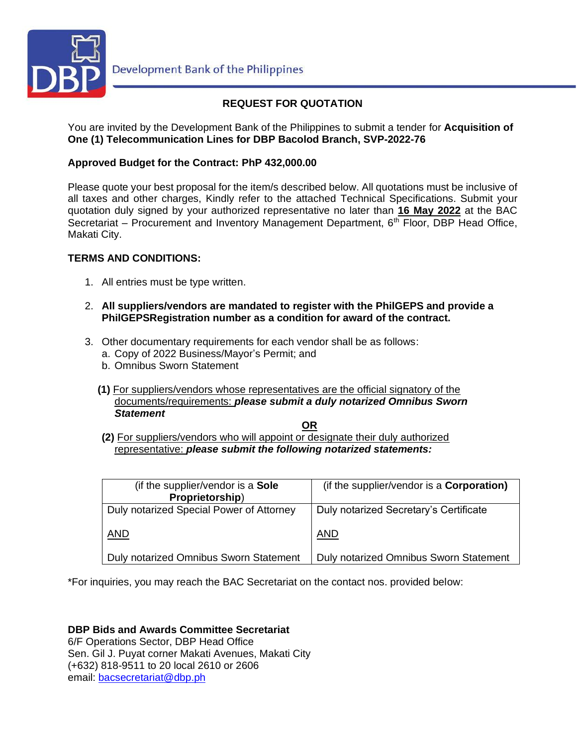

# **REQUEST FOR QUOTATION**

You are invited by the Development Bank of the Philippines to submit a tender for **Acquisition of One (1) Telecommunication Lines for DBP Bacolod Branch, SVP-2022-76**

## **Approved Budget for the Contract: PhP 432,000.00**

Please quote your best proposal for the item/s described below. All quotations must be inclusive of all taxes and other charges, Kindly refer to the attached Technical Specifications. Submit your quotation duly signed by your authorized representative no later than **16 May 2022** at the BAC Secretariat – Procurement and Inventory Management Department,  $6<sup>th</sup>$  Floor, DBP Head Office, Makati City.

## **TERMS AND CONDITIONS:**

- 1. All entries must be type written.
- 2. **All suppliers/vendors are mandated to register with the PhilGEPS and provide a PhilGEPSRegistration number as a condition for award of the contract.**
- 3. Other documentary requirements for each vendor shall be as follows:
	- a. Copy of 2022 Business/Mayor's Permit; and
	- b. Omnibus Sworn Statement
	- **(1)** For suppliers/vendors whose representatives are the official signatory of the documents/requirements: *please submit a duly notarized Omnibus Sworn Statement*

**OR**

**(2)** For suppliers/vendors who will appoint or designate their duly authorized representative: *please submit the following notarized statements:*

| (if the supplier/vendor is a Sole<br>Proprietorship) | (if the supplier/vendor is a <b>Corporation)</b> |
|------------------------------------------------------|--------------------------------------------------|
| Duly notarized Special Power of Attorney             | Duly notarized Secretary's Certificate           |
| AND                                                  | <b>AND</b>                                       |
| Duly notarized Omnibus Sworn Statement               | Duly notarized Omnibus Sworn Statement           |

\*For inquiries, you may reach the BAC Secretariat on the contact nos. provided below:

**DBP Bids and Awards Committee Secretariat**  6/F Operations Sector, DBP Head Office Sen. Gil J. Puyat corner Makati Avenues, Makati City (+632) 818-9511 to 20 local 2610 or 2606 email: [bacsecretariat@dbp.ph](mailto:bacsecretariat@dbp.ph)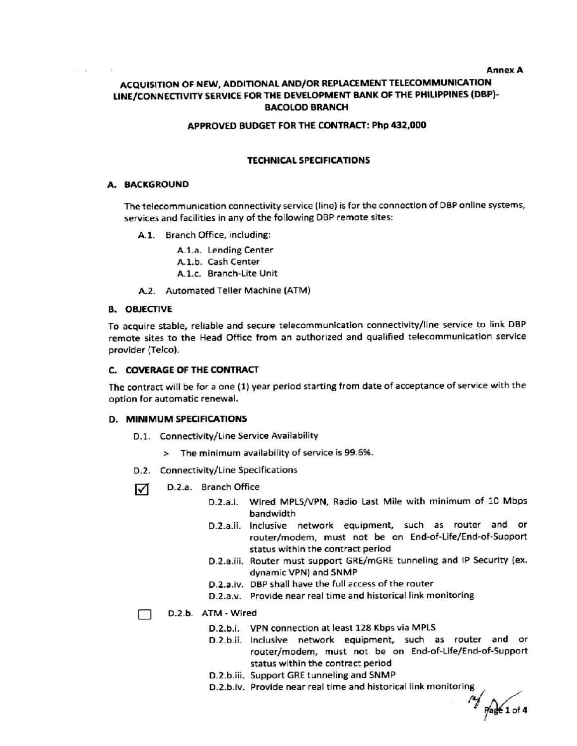## ACQUISITION OF NEW, ADDITIONAL AND/OR REPLACEMENT TELECOMMUNICATION LINE/CONNECTIVITY SERVICE FOR THE DEVELOPMENT BANK OF THE PHILIPPINES (DBP)-**BACOLOD BRANCH**

### APPROVED BUDGET FOR THE CONTRACT: Php 432,000

#### **TECHNICAL SPECIFICATIONS**

#### A. BACKGROUND

The telecommunication connectivity service (line) is for the connection of DBP online systems, services and facilities in any of the following DBP remote sites:

- A.1. Branch Office, including:
	- A.1.a. Lending Center
	- A.1.b. Cash Center
	- A.1.c. Branch-Lite Unit
- A.2. Automated Teller Machine (ATM)

#### **B. OBJECTIVE**

To acquire stable, reliable and secure telecommunication connectivity/line service to link DBP remote sites to the Head Office from an authorized and qualified telecommunication service provider (Telco).

### C. COVERAGE OF THE CONTRACT

The contract will be for a one (1) year period starting from date of acceptance of service with the option for automatic renewal.

#### **D. MINIMUM SPECIFICATIONS**

- D.1. Connectivity/Line Service Availability
	- > The minimum availability of service is 99.6%.
- D.2. Connectivity/Line Specifications
- D.2.a. Branch Office ☑
	- D.2.a.i. Wired MPLS/VPN, Radio Last Mile with minimum of 10 Mbps bandwidth
	- D.2.a.ii. Inclusive network equipment, such as router and or router/modem, must not be on End-of-Life/End-of-Support status within the contract period
	- D.2.a.iii. Router must support GRE/mGRE tunneling and IP Security (ex. dynamic VPN) and SNMP
	- D.2.a.iv. DBP shall have the full access of the router
	- D.2.a.v. Provide near real time and historical link monitoring

D.2.b. ATM - Wired  $\Box$ 

- D.2.b.i. VPN connection at least 128 Kbps via MPLS
- D.2.b.ii. Inclusive network equipment, such as router and or router/modem, must not be on End-of-Life/End-of-Support status within the contract period
- D.2.b.iii. Support GRE tunneling and SNMP
- D.2.b.iv. Provide near real time and historical link monitoring

 $\frac{M}{P}$  Page 1 of 4

**Annex A**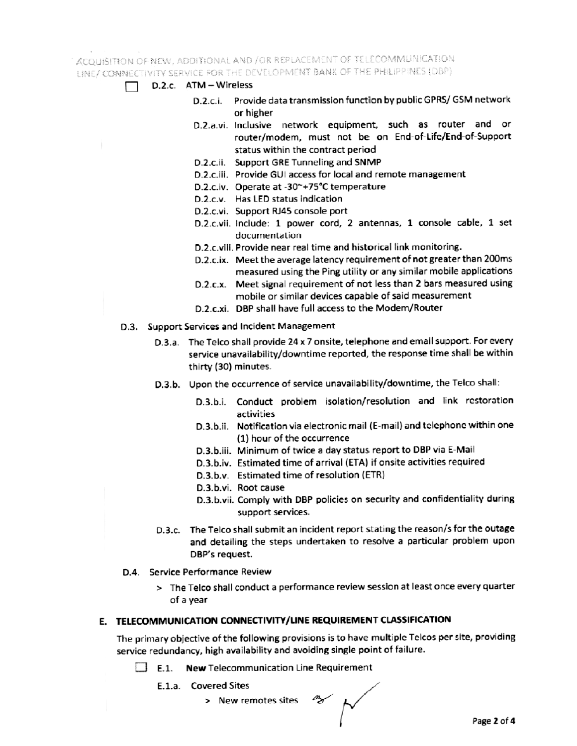## ACQUISITION OF NEW, ADDITIONAL AND /OR REPLACEMENT OF TELECOMMUNICATION LINE/CONNECTIVITY SERVICE FOR THE DEVELOPMENT BANK OF THE PHILIPPINES (DBP).

- D.2.c. ATM Wireless
	- D.2.c.i. Provide data transmission function by public GPRS/ GSM network or higher
	- D.2.a.vi. Inclusive network equipment, such as router and or router/modem, must not be on End-of-Life/End-of-Support status within the contract period
	- D.2.c.ii. Support GRE Tunneling and SNMP
	- D.2.c.iii. Provide GUI access for local and remote management
	- D.2.c.iv. Operate at -30~+75°C temperature
	- D.2.c.v. Has LED status indication
	- D.2.c.vi. Support RJ45 console port
	- D.2.c.vii. include: 1 power cord, 2 antennas, 1 console cable, 1 set documentation
	- D.2.c.viii. Provide near real time and historical link monitoring.
	- D.2.c.ix. Meet the average latency requirement of not greater than 200ms measured using the Ping utility or any similar mobile applications
	- D.2.c.x. Meet signal requirement of not less than 2 bars measured using mobile or similar devices capable of said measurement
	- D.2.c.xi. DBP shall have full access to the Modem/Router
- D.3. Support Services and Incident Management
	- D.3.a. The Telco shall provide 24 x 7 onsite, telephone and email support. For every service unavailability/downtime reported, the response time shall be within thirty (30) minutes.
	- D.3.b. Upon the occurrence of service unavailability/downtime, the Telco shall:
		- D.3.b.i. Conduct problem isolation/resolution and link restoration activities
		- D.3.b.ii. Notification via electronic mail (E-mail) and telephone within one (1) hour of the occurrence
		- D.3.b.iii. Minimum of twice a day status report to DBP via E-Mail
		- D.3.b.iv. Estimated time of arrival (ETA) if onsite activities required
		- D.3.b.v. Estimated time of resolution (ETR)
		- D.3.b.vi. Root cause
		- D.3.b.vii. Comply with DBP policies on security and confidentiality during support services.
	- D.3.c. The Telco shall submit an incident report stating the reason/s for the outage and detailing the steps undertaken to resolve a particular problem upon DBP's request.
- D.4. Service Performance Review
	- > The Telco shall conduct a performance review session at least once every quarter of a year

### E. TELECOMMUNICATION CONNECTIVITY/LINE REQUIREMENT CLASSIFICATION

The primary objective of the following provisions is to have multiple Telcos per site, providing service redundancy, high availability and avoiding single point of failure.

- $\Box$  E.1. New Telecommunication Line Requirement
	- E.1.a. Covered Sites
		- > New remotes sites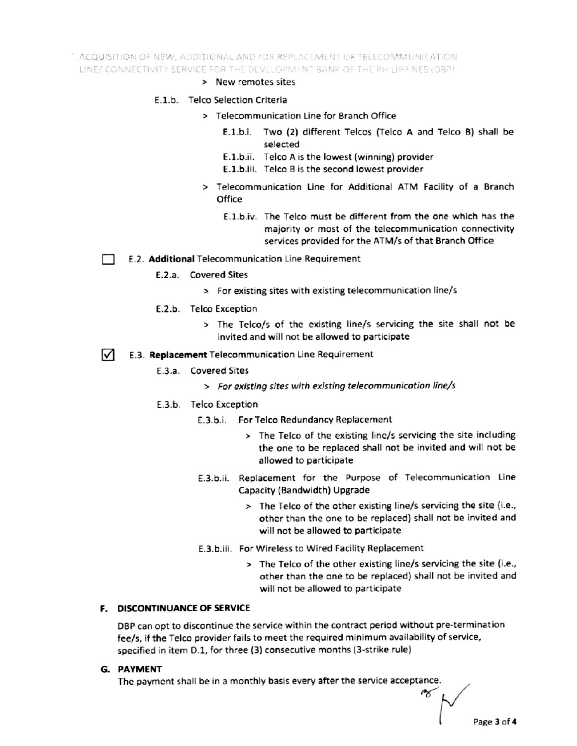", ACQUISITION OF NEW, ADDITIONAL AND /OR REPLACEMENT OF TELECOMMUNICATION LINE/ CONNECTIVITY SERVICE FOR THE DEVELOPMENT BANK OF THE PH.LIPPINES (DBP)

- > New remotes sites
- E.1.b. Telco Selection Criteria
	- > Telecommunication Line for Branch Office
		- E.1.b.i. Two (2) different Telcos (Telco A and Telco B) shall be selected
		- E.1.b.ii. Telco A is the lowest (winning) provider
		- E.1.b.iii. Telco B is the second lowest provider
	- > Telecommunication Line for Additional ATM Facility of a Branch Office
		- E.1.b.iv. The Telco must be different from the one which has the majority or most of the telecommunication connectivity services provided for the ATM/s of that Branch Office
- E.2. Additional Telecommunication Line Requirement
	- E.2.a. Covered Sites
		- > For existing sites with existing telecommunication line/s
	- E.2.b. Telco Exception
		- > The Telco/s of the existing line/s servicing the site shall not be invited and will not be allowed to participate
- $\sqrt{ }$ E.3. Replacement Telecommunication Line Requirement
	- E.3.a. Covered Sites
		- > For existing sites with existing telecommunication line/s
	- E.3.b. Telco Exception
		- E.3.b.i. For Telco Redundancy Replacement
			- > The Telco of the existing line/s servicing the site including the one to be replaced shall not be invited and will not be allowed to participate
		- E.3.b.ii. Replacement for the Purpose of Telecommunication Line Capacity (Bandwidth) Upgrade
			- > The Telco of the other existing line/s servicing the site (i.e., other than the one to be replaced) shall not be invited and will not be allowed to participate
		- E.3.b.iii. For Wireless to Wired Facility Replacement
			- > The Telco of the other existing line/s servicing the site (i.e., other than the one to be replaced) shall not be invited and will not be allowed to participate

### **F. DISCONTINUANCE OF SERVICE**

DBP can opt to discontinue the service within the contract period without pre-termination fee/s, if the Telco provider fails to meet the required minimum availability of service, specified in item D.1, for three (3) consecutive months (3-strike rule)

G. PAYMENT

The payment shall be in a monthly basis every after the service acceptance.